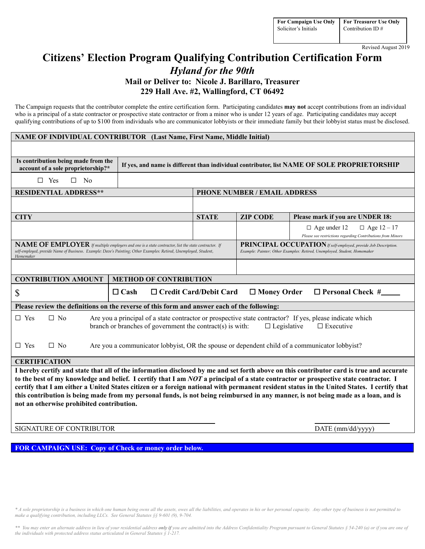# **Citizens' Election Program Qualifying Contribution Certification Form** *Hyland for the 90th* **Mail or Deliver to: Nicole J. Barillaro, Treasurer 229 Hall Ave. #2, Wallingford, CT 06492**

The Campaign requests that the contributor complete the entire certification form. Participating candidates **may not** accept contributions from an individual who is a principal of a state contractor or prospective state contractor or from a minor who is under 12 years of age. Participating candidates may accept qualifying contributions of up to \$100 from individuals who are communicator lobbyists or their immediate family but their lobbyist status must be disclosed.

# **NAME OF INDIVIDUAL CONTRIBUTOR (Last Name, First Name, Middle Initial)**

| Is contribution being made from the<br>account of a sole proprietorship?*                                                                                                                                                                                                                                                                                                                                                                                                                                                                                                                                         | If yes, and name is different than individual contributor, list NAME OF SOLE PROPRIETORSHIP |                              |                                                                                                                                                     |                                                                                                          |
|-------------------------------------------------------------------------------------------------------------------------------------------------------------------------------------------------------------------------------------------------------------------------------------------------------------------------------------------------------------------------------------------------------------------------------------------------------------------------------------------------------------------------------------------------------------------------------------------------------------------|---------------------------------------------------------------------------------------------|------------------------------|-----------------------------------------------------------------------------------------------------------------------------------------------------|----------------------------------------------------------------------------------------------------------|
| $\Box$ Yes<br>$\Box$ No                                                                                                                                                                                                                                                                                                                                                                                                                                                                                                                                                                                           |                                                                                             |                              |                                                                                                                                                     |                                                                                                          |
| <b>RESIDENTIAL ADDRESS**</b>                                                                                                                                                                                                                                                                                                                                                                                                                                                                                                                                                                                      |                                                                                             | PHONE NUMBER / EMAIL ADDRESS |                                                                                                                                                     |                                                                                                          |
|                                                                                                                                                                                                                                                                                                                                                                                                                                                                                                                                                                                                                   |                                                                                             |                              |                                                                                                                                                     |                                                                                                          |
| <b>CITY</b>                                                                                                                                                                                                                                                                                                                                                                                                                                                                                                                                                                                                       |                                                                                             | <b>STATE</b>                 | <b>ZIP CODE</b>                                                                                                                                     | Please mark if you are UNDER 18:                                                                         |
|                                                                                                                                                                                                                                                                                                                                                                                                                                                                                                                                                                                                                   |                                                                                             |                              |                                                                                                                                                     | $\Box$ Age under 12<br>$\Box$ Age 12 – 17<br>Please see restrictions regarding Contributions from Minors |
| NAME OF EMPLOYER If multiple employers and one is a state contractor, list the state contractor. If<br>self-employed, provide Name of Business. Example: Dave's Painting; Other Examples: Retired, Unemployed, Student,<br>Homemaker                                                                                                                                                                                                                                                                                                                                                                              |                                                                                             |                              | <b>PRINCIPAL OCCUPATION</b> If self-employed, provide Job Description.<br>Example: Painter; Other Examples: Retired, Unemployed, Student, Homemaker |                                                                                                          |
|                                                                                                                                                                                                                                                                                                                                                                                                                                                                                                                                                                                                                   |                                                                                             |                              |                                                                                                                                                     |                                                                                                          |
| <b>CONTRIBUTION AMOUNT</b><br><b>METHOD OF CONTRIBUTION</b>                                                                                                                                                                                                                                                                                                                                                                                                                                                                                                                                                       |                                                                                             |                              |                                                                                                                                                     |                                                                                                          |
| □ Credit Card/Debit Card<br>$\Box$ Cash<br>$\mathbb{S}$                                                                                                                                                                                                                                                                                                                                                                                                                                                                                                                                                           |                                                                                             |                              | $\Box$ Money Order                                                                                                                                  | $\Box$ Personal Check #                                                                                  |
| Please review the definitions on the reverse of this form and answer each of the following:                                                                                                                                                                                                                                                                                                                                                                                                                                                                                                                       |                                                                                             |                              |                                                                                                                                                     |                                                                                                          |
| $\Box$ Yes<br>$\Box$ No<br>Are you a principal of a state contractor or prospective state contractor? If yes, please indicate which<br>branch or branches of government the contract(s) is with:<br>$\Box$ Legislative<br>$\Box$ Executive                                                                                                                                                                                                                                                                                                                                                                        |                                                                                             |                              |                                                                                                                                                     |                                                                                                          |
| $\square$ Yes<br>$\Box$ No<br>Are you a communicator lobbyist, OR the spouse or dependent child of a communicator lobbyist?                                                                                                                                                                                                                                                                                                                                                                                                                                                                                       |                                                                                             |                              |                                                                                                                                                     |                                                                                                          |
| <b>CERTIFICATION</b>                                                                                                                                                                                                                                                                                                                                                                                                                                                                                                                                                                                              |                                                                                             |                              |                                                                                                                                                     |                                                                                                          |
| I hereby certify and state that all of the information disclosed by me and set forth above on this contributor card is true and accurate<br>to the best of my knowledge and belief. I certify that I am NOT a principal of a state contractor or prospective state contractor. I<br>certify that I am either a United States citizen or a foreign national with permanent resident status in the United States. I certify that<br>this contribution is being made from my personal funds, is not being reimbursed in any manner, is not being made as a loan, and is<br>not an otherwise prohibited contribution. |                                                                                             |                              |                                                                                                                                                     |                                                                                                          |
| SIGNATURE OF CONTRIBUTOR                                                                                                                                                                                                                                                                                                                                                                                                                                                                                                                                                                                          |                                                                                             |                              |                                                                                                                                                     | $DATE$ (mm/dd/yyyy)                                                                                      |
|                                                                                                                                                                                                                                                                                                                                                                                                                                                                                                                                                                                                                   |                                                                                             |                              |                                                                                                                                                     |                                                                                                          |

**FOR CAMPAIGN USE: Copy of Check or money order below.**

\* A sole proprietorship is a business in which one human being owns all the assets, owes all the liabilities, and operates in his or her personal capacity. Any other type of business is not permitted to *make a qualifying contribution, including LLCs. See General Statutes §§ 9-601 (9), 9-704.*